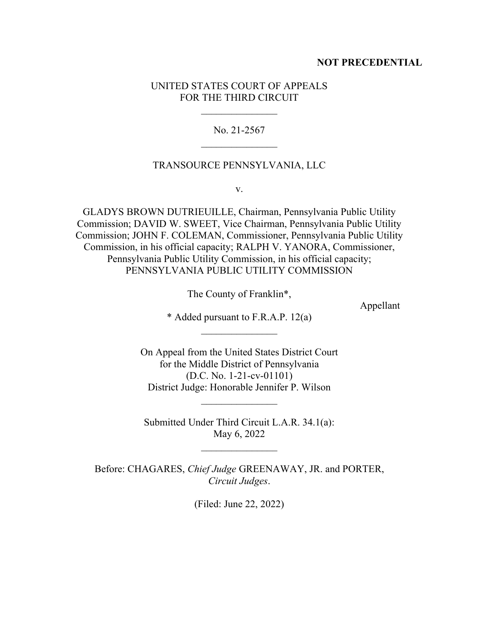## **NOT PRECEDENTIAL**

# UNITED STATES COURT OF APPEALS FOR THE THIRD CIRCUIT

No. 21-2567

## TRANSOURCE PENNSYLVANIA, LLC

v.

GLADYS BROWN DUTRIEUILLE, Chairman, Pennsylvania Public Utility Commission; DAVID W. SWEET, Vice Chairman, Pennsylvania Public Utility Commission; JOHN F. COLEMAN, Commissioner, Pennsylvania Public Utility Commission, in his official capacity; RALPH V. YANORA, Commissioner, Pennsylvania Public Utility Commission, in his official capacity; PENNSYLVANIA PUBLIC UTILITY COMMISSION

The County of Franklin\*,

Appellant

\* Added pursuant to F.R.A.P. 12(a)

On Appeal from the United States District Court for the Middle District of Pennsylvania (D.C. No. 1-21-cv-01101) District Judge: Honorable Jennifer P. Wilson

 $\mathcal{L}_\text{max}$ 

Submitted Under Third Circuit L.A.R. 34.1(a): May 6, 2022

 $\frac{1}{2}$ 

Before: CHAGARES, *Chief Judge* GREENAWAY, JR. and PORTER, *Circuit Judges*.

(Filed: June 22, 2022)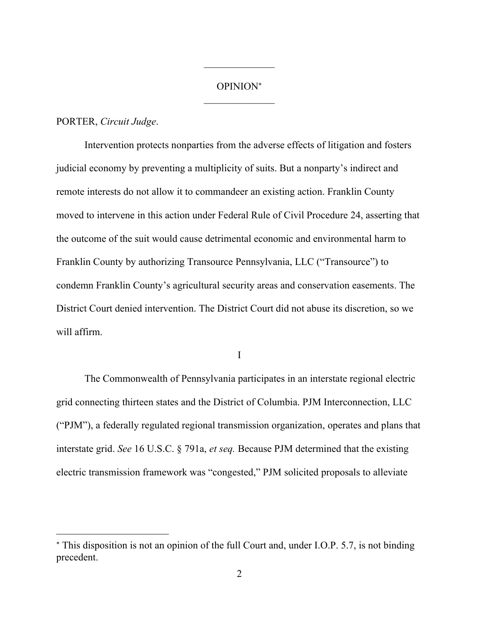# OPINION  $\mathcal{L}_\text{max}$

 $\mathcal{L}_\text{max}$ 

## PORTER, *Circuit Judge*.

Intervention protects nonparties from the adverse effects of litigation and fosters judicial economy by preventing a multiplicity of suits. But a nonparty's indirect and remote interests do not allow it to commandeer an existing action. Franklin County moved to intervene in this action under Federal Rule of Civil Procedure 24, asserting that the outcome of the suit would cause detrimental economic and environmental harm to Franklin County by authorizing Transource Pennsylvania, LLC ("Transource") to condemn Franklin County's agricultural security areas and conservation easements. The District Court denied intervention. The District Court did not abuse its discretion, so we will affirm.

I

The Commonwealth of Pennsylvania participates in an interstate regional electric grid connecting thirteen states and the District of Columbia. PJM Interconnection, LLC ("PJM"), a federally regulated regional transmission organization, operates and plans that interstate grid. *See* 16 U.S.C. § 791a, *et seq.* Because PJM determined that the existing electric transmission framework was "congested," PJM solicited proposals to alleviate

This disposition is not an opinion of the full Court and, under I.O.P. 5.7, is not binding precedent.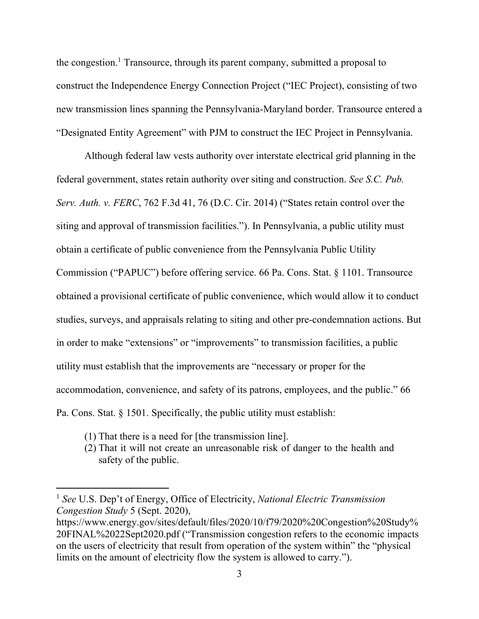the congestion.<sup>1</sup> Transource, through its parent company, submitted a proposal to construct the Independence Energy Connection Project ("IEC Project), consisting of two new transmission lines spanning the Pennsylvania-Maryland border. Transource entered a "Designated Entity Agreement" with PJM to construct the IEC Project in Pennsylvania.

Although federal law vests authority over interstate electrical grid planning in the federal government, states retain authority over siting and construction. *See S.C. Pub. Serv. Auth. v. FERC*, 762 F.3d 41, 76 (D.C. Cir. 2014) ("States retain control over the siting and approval of transmission facilities."). In Pennsylvania, a public utility must obtain a certificate of public convenience from the Pennsylvania Public Utility Commission ("PAPUC") before offering service. 66 Pa. Cons. Stat. § 1101. Transource obtained a provisional certificate of public convenience, which would allow it to conduct studies, surveys, and appraisals relating to siting and other pre-condemnation actions. But in order to make "extensions" or "improvements" to transmission facilities, a public utility must establish that the improvements are "necessary or proper for the accommodation, convenience, and safety of its patrons, employees, and the public." 66 Pa. Cons. Stat. § 1501. Specifically, the public utility must establish:

- (1) That there is a need for [the transmission line].
- (2) That it will not create an unreasonable risk of danger to the health and safety of the public.

<sup>1</sup> *See* U.S. Dep't of Energy, Office of Electricity, *National Electric Transmission Congestion Study* 5 (Sept. 2020),

https://www.energy.gov/sites/default/files/2020/10/f79/2020%20Congestion%20Study% 20FINAL%2022Sept2020.pdf ("Transmission congestion refers to the economic impacts on the users of electricity that result from operation of the system within" the "physical limits on the amount of electricity flow the system is allowed to carry.").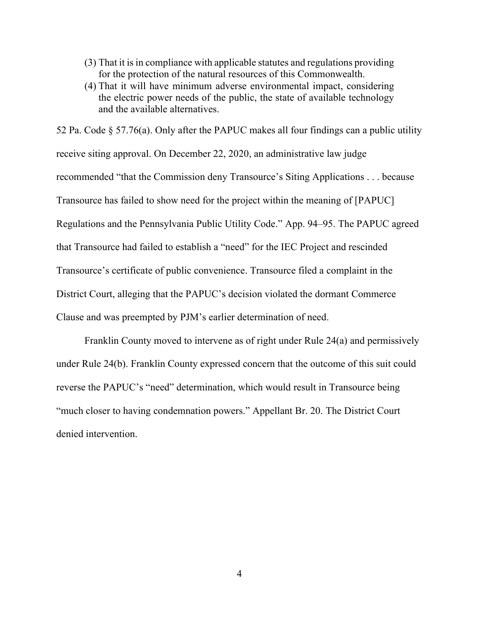- (3) That it is in compliance with applicable statutes and regulations providing for the protection of the natural resources of this Commonwealth.
- (4) That it will have minimum adverse environmental impact, considering the electric power needs of the public, the state of available technology and the available alternatives.

52 Pa. Code § 57.76(a). Only after the PAPUC makes all four findings can a public utility receive siting approval. On December 22, 2020, an administrative law judge recommended "that the Commission deny Transource's Siting Applications . . . because Transource has failed to show need for the project within the meaning of [PAPUC] Regulations and the Pennsylvania Public Utility Code." App. 94–95. The PAPUC agreed that Transource had failed to establish a "need" for the IEC Project and rescinded Transource's certificate of public convenience. Transource filed a complaint in the District Court, alleging that the PAPUC's decision violated the dormant Commerce Clause and was preempted by PJM's earlier determination of need.

Franklin County moved to intervene as of right under Rule 24(a) and permissively under Rule 24(b). Franklin County expressed concern that the outcome of this suit could reverse the PAPUC's "need" determination, which would result in Transource being "much closer to having condemnation powers." Appellant Br. 20. The District Court denied intervention.

4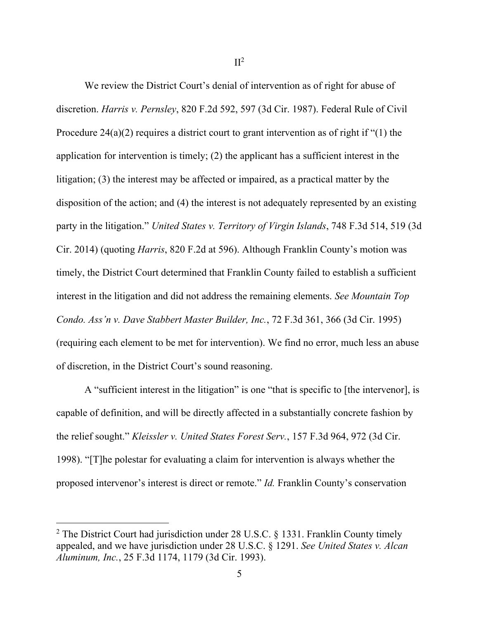We review the District Court's denial of intervention as of right for abuse of discretion. *Harris v. Pernsley*, 820 F.2d 592, 597 (3d Cir. 1987). Federal Rule of Civil Procedure  $24(a)(2)$  requires a district court to grant intervention as of right if "(1) the application for intervention is timely; (2) the applicant has a sufficient interest in the litigation; (3) the interest may be affected or impaired, as a practical matter by the disposition of the action; and (4) the interest is not adequately represented by an existing party in the litigation." *United States v. Territory of Virgin Islands*, 748 F.3d 514, 519 (3d Cir. 2014) (quoting *Harris*, 820 F.2d at 596). Although Franklin County's motion was timely, the District Court determined that Franklin County failed to establish a sufficient interest in the litigation and did not address the remaining elements. *See Mountain Top Condo. Ass'n v. Dave Stabbert Master Builder, Inc.*, 72 F.3d 361, 366 (3d Cir. 1995) (requiring each element to be met for intervention). We find no error, much less an abuse of discretion, in the District Court's sound reasoning.

A "sufficient interest in the litigation" is one "that is specific to [the intervenor], is capable of definition, and will be directly affected in a substantially concrete fashion by the relief sought." *Kleissler v. United States Forest Serv.*, 157 F.3d 964, 972 (3d Cir. 1998). "[T]he polestar for evaluating a claim for intervention is always whether the proposed intervenor's interest is direct or remote." *Id.* Franklin County's conservation

<sup>&</sup>lt;sup>2</sup> The District Court had jurisdiction under 28 U.S.C. § 1331. Franklin County timely appealed, and we have jurisdiction under 28 U.S.C. § 1291. *See United States v. Alcan Aluminum, Inc.*, 25 F.3d 1174, 1179 (3d Cir. 1993).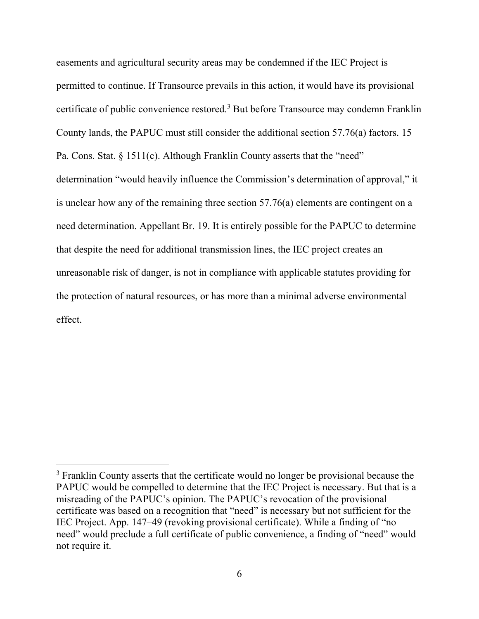easements and agricultural security areas may be condemned if the IEC Project is permitted to continue. If Transource prevails in this action, it would have its provisional certificate of public convenience restored.<sup>3</sup> But before Transource may condemn Franklin County lands, the PAPUC must still consider the additional section 57.76(a) factors. 15 Pa. Cons. Stat. § 1511(c). Although Franklin County asserts that the "need" determination "would heavily influence the Commission's determination of approval," it is unclear how any of the remaining three section 57.76(a) elements are contingent on a need determination. Appellant Br. 19. It is entirely possible for the PAPUC to determine that despite the need for additional transmission lines, the IEC project creates an unreasonable risk of danger, is not in compliance with applicable statutes providing for the protection of natural resources, or has more than a minimal adverse environmental effect.

<sup>&</sup>lt;sup>3</sup> Franklin County asserts that the certificate would no longer be provisional because the PAPUC would be compelled to determine that the IEC Project is necessary. But that is a misreading of the PAPUC's opinion. The PAPUC's revocation of the provisional certificate was based on a recognition that "need" is necessary but not sufficient for the IEC Project. App. 147–49 (revoking provisional certificate). While a finding of "no need" would preclude a full certificate of public convenience, a finding of "need" would not require it.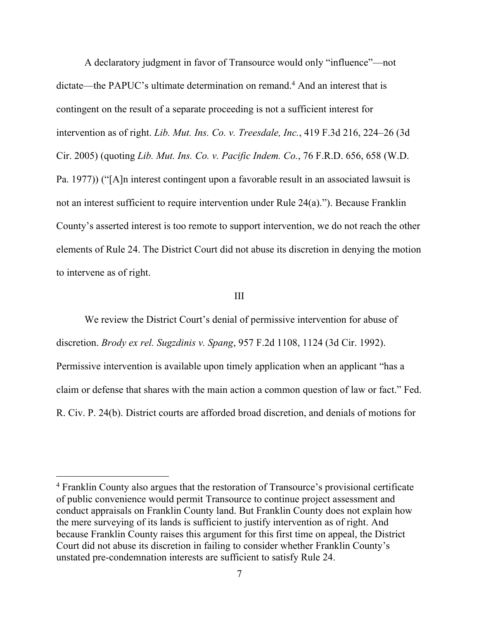A declaratory judgment in favor of Transource would only "influence"—not dictate—the PAPUC's ultimate determination on remand.<sup>4</sup> And an interest that is contingent on the result of a separate proceeding is not a sufficient interest for intervention as of right. *Lib. Mut. Ins. Co. v. Treesdale, Inc.*, 419 F.3d 216, 224–26 (3d Cir. 2005) (quoting *Lib. Mut. Ins. Co. v. Pacific Indem. Co.*, 76 F.R.D. 656, 658 (W.D. Pa. 1977)) ("[A]n interest contingent upon a favorable result in an associated lawsuit is not an interest sufficient to require intervention under Rule 24(a)."). Because Franklin County's asserted interest is too remote to support intervention, we do not reach the other elements of Rule 24. The District Court did not abuse its discretion in denying the motion to intervene as of right.

#### III

We review the District Court's denial of permissive intervention for abuse of discretion. *Brody ex rel. Sugzdinis v. Spang*, 957 F.2d 1108, 1124 (3d Cir. 1992). Permissive intervention is available upon timely application when an applicant "has a claim or defense that shares with the main action a common question of law or fact." Fed. R. Civ. P. 24(b). District courts are afforded broad discretion, and denials of motions for

<sup>4</sup> Franklin County also argues that the restoration of Transource's provisional certificate of public convenience would permit Transource to continue project assessment and conduct appraisals on Franklin County land. But Franklin County does not explain how the mere surveying of its lands is sufficient to justify intervention as of right. And because Franklin County raises this argument for this first time on appeal, the District Court did not abuse its discretion in failing to consider whether Franklin County's unstated pre-condemnation interests are sufficient to satisfy Rule 24.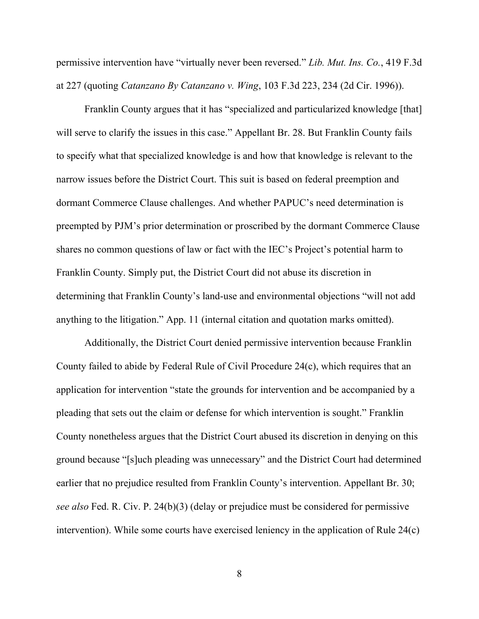permissive intervention have "virtually never been reversed." *Lib. Mut. Ins. Co.*, 419 F.3d at 227 (quoting *Catanzano By Catanzano v. Wing*, 103 F.3d 223, 234 (2d Cir. 1996)).

Franklin County argues that it has "specialized and particularized knowledge [that] will serve to clarify the issues in this case." Appellant Br. 28. But Franklin County fails to specify what that specialized knowledge is and how that knowledge is relevant to the narrow issues before the District Court. This suit is based on federal preemption and dormant Commerce Clause challenges. And whether PAPUC's need determination is preempted by PJM's prior determination or proscribed by the dormant Commerce Clause shares no common questions of law or fact with the IEC's Project's potential harm to Franklin County. Simply put, the District Court did not abuse its discretion in determining that Franklin County's land-use and environmental objections "will not add anything to the litigation." App. 11 (internal citation and quotation marks omitted).

Additionally, the District Court denied permissive intervention because Franklin County failed to abide by Federal Rule of Civil Procedure 24(c), which requires that an application for intervention "state the grounds for intervention and be accompanied by a pleading that sets out the claim or defense for which intervention is sought." Franklin County nonetheless argues that the District Court abused its discretion in denying on this ground because "[s]uch pleading was unnecessary" and the District Court had determined earlier that no prejudice resulted from Franklin County's intervention. Appellant Br. 30; *see also* Fed. R. Civ. P. 24(b)(3) (delay or prejudice must be considered for permissive intervention). While some courts have exercised leniency in the application of Rule 24(c)